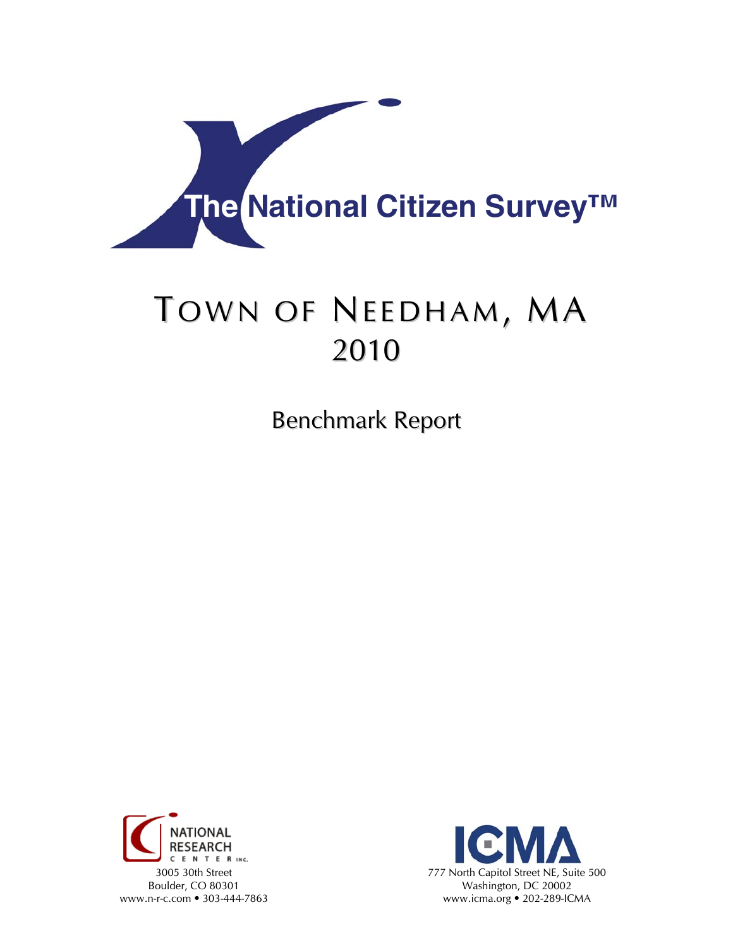

# TOWN OF NEEDHAM, MA 2010

Benchmark Report



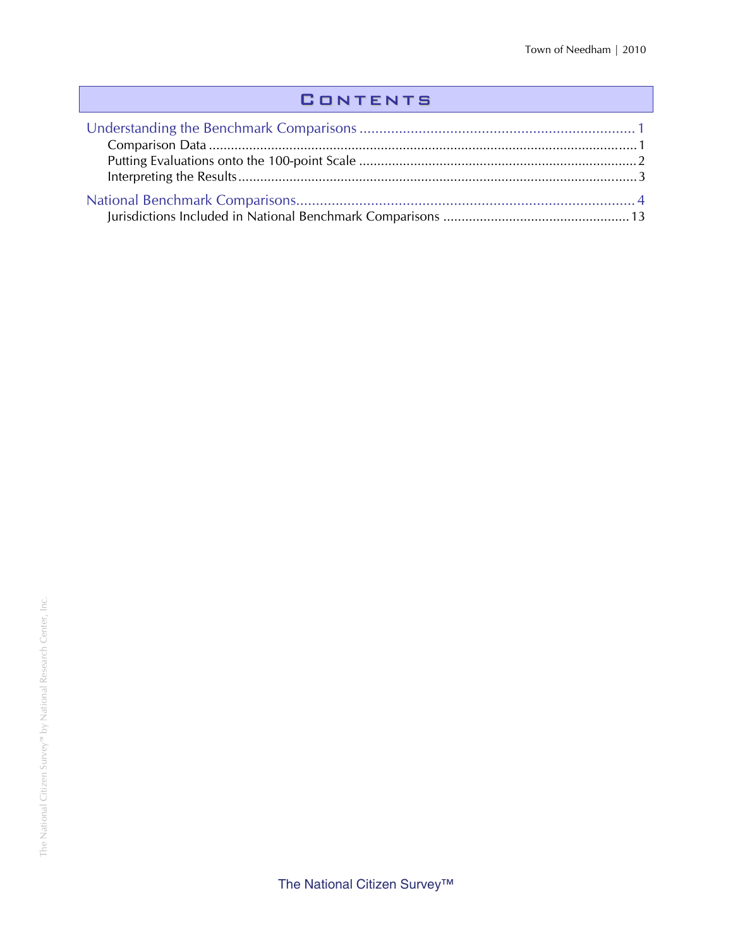## **CONTENTS**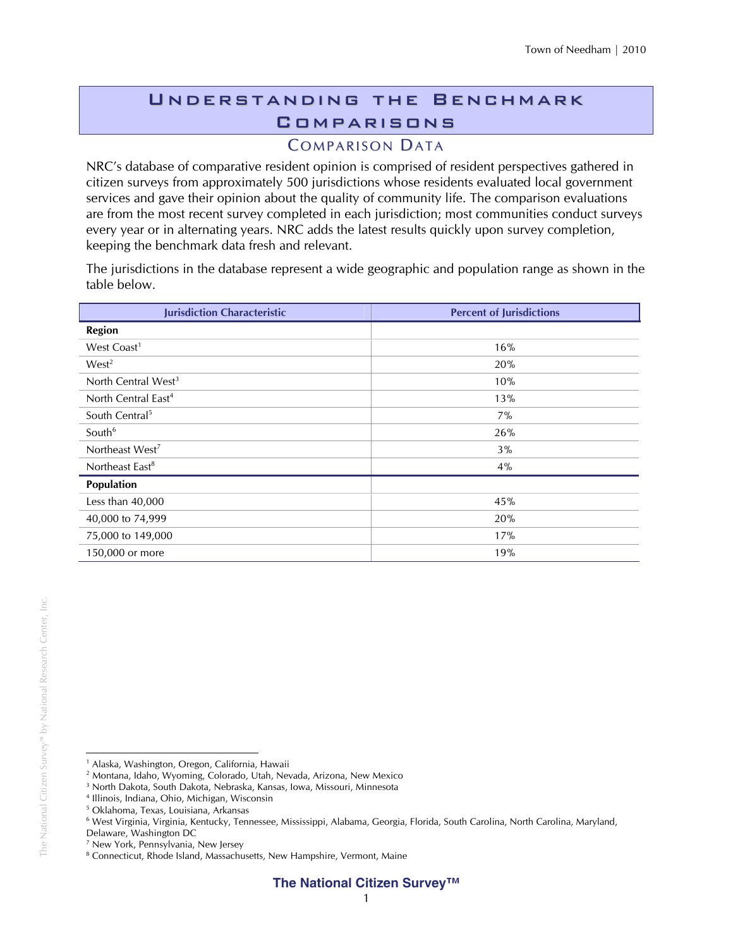## Understanding the Benchmark **COMPARISONS**

## **COMPARISON DATA**

NRC's database of comparative resident opinion is comprised of resident perspectives gathered in citizen surveys from approximately 500 jurisdictions whose residents evaluated local government services and gave their opinion about the quality of community life. The comparison evaluations are from the most recent survey completed in each jurisdiction; most communities conduct surveys every year or in alternating years. NRC adds the latest results quickly upon survey completion, keeping the benchmark data fresh and relevant.

The jurisdictions in the database represent a wide geographic and population range as shown in the table below.

| <b>Jurisdiction Characteristic</b> | <b>Percent of Jurisdictions</b> |
|------------------------------------|---------------------------------|
| <b>Region</b>                      |                                 |
| West Coast <sup>1</sup>            | 16%                             |
| West <sup>2</sup>                  | 20%                             |
| North Central West <sup>3</sup>    | 10%                             |
| North Central East <sup>4</sup>    | 13%                             |
| South Central <sup>5</sup>         | 7%                              |
| South <sup>6</sup>                 | 26%                             |
| Northeast West <sup>7</sup>        | 3%                              |
| Northeast East <sup>8</sup>        | 4%                              |
| Population                         |                                 |
| Less than $40,000$                 | 45%                             |
| 40,000 to 74,999                   | 20%                             |
| 75,000 to 149,000                  | 17%                             |
| 150,000 or more                    | 19%                             |

 $\overline{a}$ <sup>1</sup> Alaska, Washington, Oregon, California, Hawaii

<sup>2</sup> Montana, Idaho, Wyoming, Colorado, Utah, Nevada, Arizona, New Mexico

<sup>3</sup> North Dakota, South Dakota, Nebraska, Kansas, Iowa, Missouri, Minnesota

<sup>4</sup> Illinois, Indiana, Ohio, Michigan, Wisconsin

<sup>5</sup> Oklahoma, Texas, Louisiana, Arkansas

<sup>6</sup> West Virginia, Virginia, Kentucky, Tennessee, Mississippi, Alabama, Georgia, Florida, South Carolina, North Carolina, Maryland,

Delaware, Washington DC

<sup>7</sup> New York, Pennsylvania, New Jersey

<sup>&</sup>lt;sup>8</sup> Connecticut, Rhode Island, Massachusetts, New Hampshire, Vermont, Maine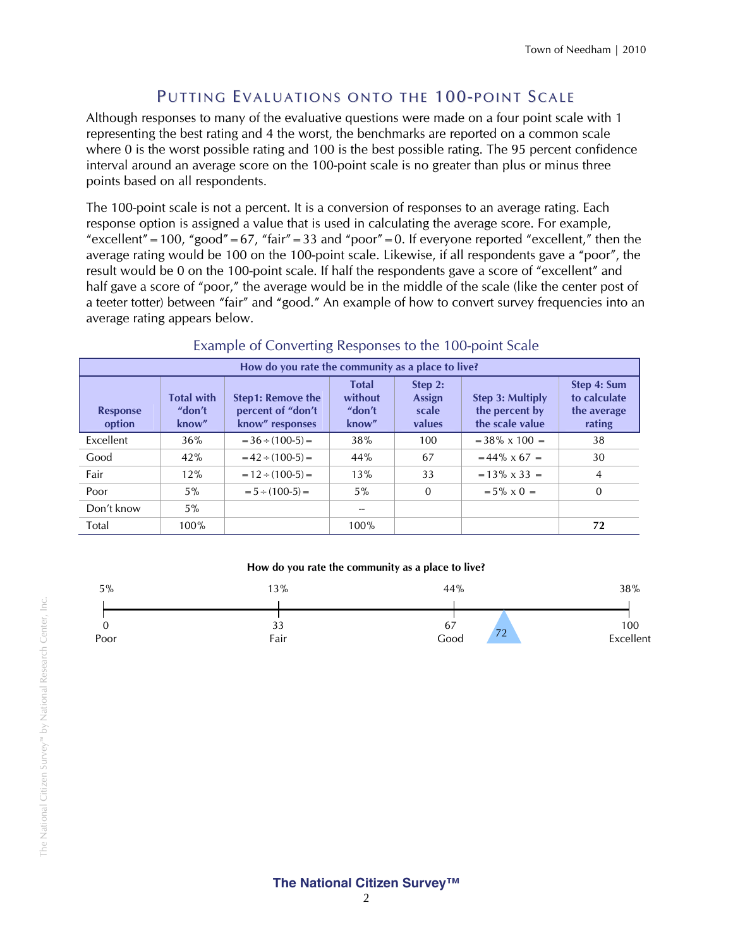## PUTTING EVALUATIONS ONTO THE 100-POINT SCALE

Although responses to many of the evaluative questions were made on a four point scale with 1 representing the best rating and 4 the worst, the benchmarks are reported on a common scale where 0 is the worst possible rating and 100 is the best possible rating. The 95 percent confidence interval around an average score on the 100-point scale is no greater than plus or minus three points based on all respondents.

The 100-point scale is not a percent. It is a conversion of responses to an average rating. Each response option is assigned a value that is used in calculating the average score. For example, "excellent" = 100, "good" = 67, "fair" = 33 and "poor" = 0. If everyone reported "excellent," then the average rating would be 100 on the 100-point scale. Likewise, if all respondents gave a "poor", the result would be 0 on the 100-point scale. If half the respondents gave a score of "excellent" and half gave a score of "poor," the average would be in the middle of the scale (like the center post of a teeter totter) between "fair" and "good." An example of how to convert survey frequencies into an average rating appears below.

| How do you rate the community as a place to live? |                                      |                                                                  |                                            |                                             |                                                       |                                                      |  |  |
|---------------------------------------------------|--------------------------------------|------------------------------------------------------------------|--------------------------------------------|---------------------------------------------|-------------------------------------------------------|------------------------------------------------------|--|--|
| <b>Response</b><br>option                         | <b>Total with</b><br>"don't<br>know" | <b>Step1: Remove the</b><br>percent of "don't<br>know" responses | <b>Total</b><br>without<br>"don't<br>know" | Step 2:<br><b>Assign</b><br>scale<br>values | Step 3: Multiply<br>the percent by<br>the scale value | Step 4: Sum<br>to calculate<br>the average<br>rating |  |  |
| Excellent                                         | 36%                                  | $=$ 36 $\div$ (100-5) $=$                                        | 38%                                        | 100                                         | $=$ 38% x 100 $=$                                     | 38                                                   |  |  |
| Good                                              | 42%                                  | $= 42 \div (100-5) =$                                            | 44%                                        | 67                                          | $= 44\% \times 67 =$                                  | 30                                                   |  |  |
| Fair                                              | 12%                                  | $= 12 \div (100-5) =$                                            | 13%                                        | 33                                          | $= 13\% \times 33 =$                                  | 4                                                    |  |  |
| Poor                                              | $5\%$                                | $= 5 \div (100-5) =$                                             | $5\%$                                      | $\mathbf{0}$                                | $= 5\% \times 0 =$                                    | $\Omega$                                             |  |  |
| Don't know                                        | $5\%$                                |                                                                  |                                            |                                             |                                                       |                                                      |  |  |
| Total                                             | 100%                                 |                                                                  | 100%                                       |                                             |                                                       | 72                                                   |  |  |

#### Example of Converting Responses to the 100-point Scale

#### **How do you rate the community as a place to live?**



#### **The National Citizen Survey™**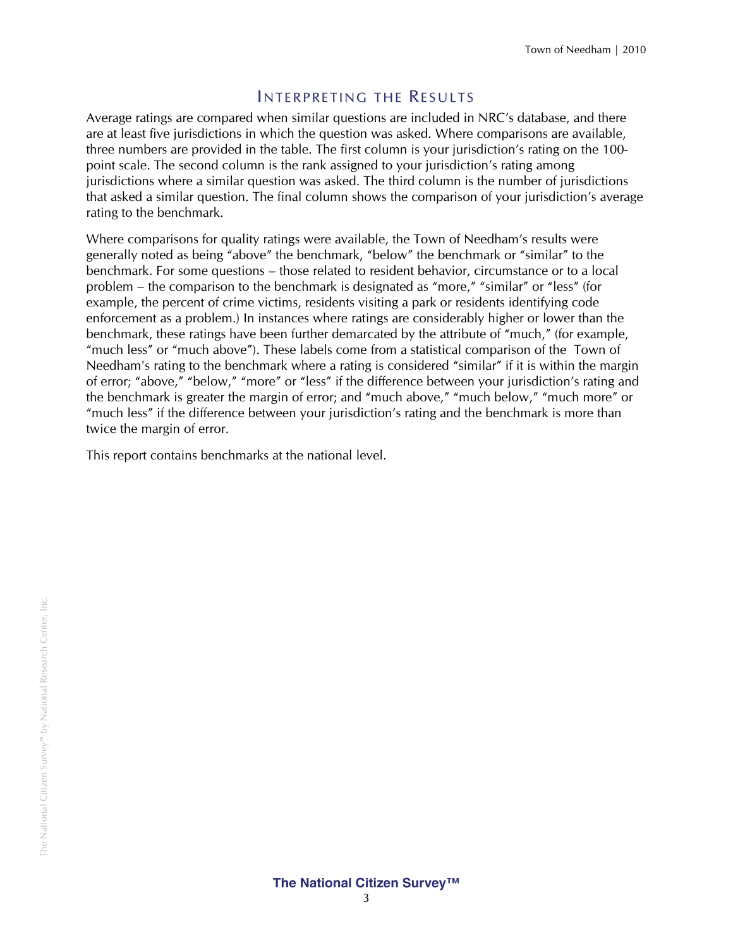#### INTERPRETING THE RESULTS

Average ratings are compared when similar questions are included in NRC's database, and there are at least five jurisdictions in which the question was asked. Where comparisons are available, three numbers are provided in the table. The first column is your jurisdiction's rating on the 100 point scale. The second column is the rank assigned to your jurisdiction's rating among jurisdictions where a similar question was asked. The third column is the number of jurisdictions that asked a similar question. The final column shows the comparison of your jurisdiction's average rating to the benchmark.

Where comparisons for quality ratings were available, the Town of Needham's results were generally noted as being "above" the benchmark, "below" the benchmark or "similar" to the benchmark. For some questions – those related to resident behavior, circumstance or to a local problem – the comparison to the benchmark is designated as "more," "similar" or "less" (for example, the percent of crime victims, residents visiting a park or residents identifying code enforcement as a problem.) In instances where ratings are considerably higher or lower than the benchmark, these ratings have been further demarcated by the attribute of "much," (for example, "much less" or "much above"). These labels come from a statistical comparison of the Town of Needham's rating to the benchmark where a rating is considered "similar" if it is within the margin of error; "above," "below," "more" or "less" if the difference between your jurisdiction's rating and the benchmark is greater the margin of error; and "much above," "much below," "much more" or "much less" if the difference between your jurisdiction's rating and the benchmark is more than twice the margin of error.

This report contains benchmarks at the national level.

#### **The National Citizen Survey™**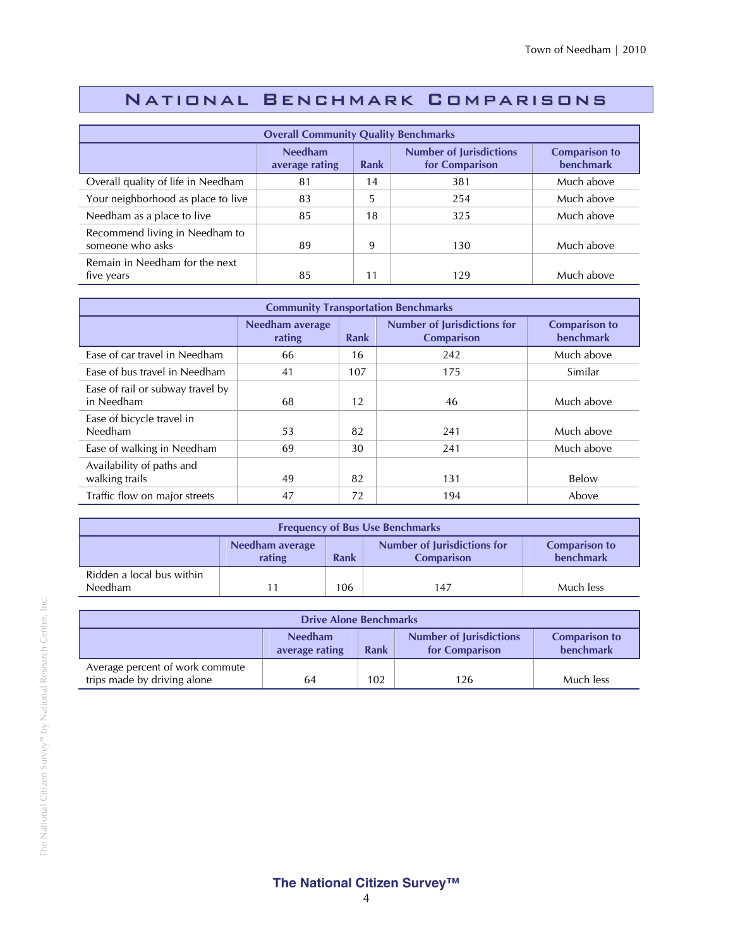## National Benchmark Comparisons

| <b>Overall Community Quality Benchmarks</b>        |                                  |      |                                                  |                                          |  |
|----------------------------------------------------|----------------------------------|------|--------------------------------------------------|------------------------------------------|--|
|                                                    | <b>Needham</b><br>average rating | Rank | <b>Number of Jurisdictions</b><br>for Comparison | <b>Comparison to</b><br><b>benchmark</b> |  |
| Overall quality of life in Needham                 | 81                               | 14   | 381                                              | Much above                               |  |
| Your neighborhood as place to live                 | 83                               | 5    | 254                                              | Much above                               |  |
| Needham as a place to live                         | 85                               | 18   | 325                                              | Much above                               |  |
| Recommend living in Needham to<br>someone who asks | 89                               | 9    | 130                                              | Much above                               |  |
| Remain in Needham for the next<br>five years       | 85                               | 11   | 129                                              | Much above                               |  |

| <b>Community Transportation Benchmarks</b>     |                           |      |                                                         |                                          |  |  |
|------------------------------------------------|---------------------------|------|---------------------------------------------------------|------------------------------------------|--|--|
|                                                | Needham average<br>rating | Rank | <b>Number of Jurisdictions for</b><br><b>Comparison</b> | <b>Comparison to</b><br><b>benchmark</b> |  |  |
| Ease of car travel in Needham                  | 66                        | 16   | 242                                                     | Much above                               |  |  |
| Ease of bus travel in Needham                  | 41                        | 107  | 175                                                     | Similar                                  |  |  |
| Ease of rail or subway travel by<br>in Needham | 68                        | 12   | 46                                                      | Much above                               |  |  |
| Ease of bicycle travel in<br>Needham           | 53                        | 82   | 241                                                     | Much above                               |  |  |
| Ease of walking in Needham                     | 69                        | 30   | 241                                                     | Much above                               |  |  |
| Availability of paths and<br>walking trails    | 49                        | 82   | 131                                                     | Below                                    |  |  |
| Traffic flow on major streets                  | 47                        | 72   | 194                                                     | Above                                    |  |  |

| <b>Frequency of Bus Use Benchmarks</b>                                                                                            |  |  |  |  |  |  |
|-----------------------------------------------------------------------------------------------------------------------------------|--|--|--|--|--|--|
| <b>Number of Jurisdictions for</b><br><b>Comparison to</b><br>Needham average<br>benchmark<br>rating<br><b>Comparison</b><br>Rank |  |  |  |  |  |  |
| Ridden a local bus within<br>Needham<br>Much less<br>106<br>147                                                                   |  |  |  |  |  |  |

| <b>Drive Alone Benchmarks</b>                                                                                                     |    |     |     |           |  |
|-----------------------------------------------------------------------------------------------------------------------------------|----|-----|-----|-----------|--|
| <b>Needham</b><br><b>Number of Jurisdictions</b><br><b>Comparison to</b><br>benchmark<br>Rank<br>for Comparison<br>average rating |    |     |     |           |  |
| Average percent of work commute<br>trips made by driving alone                                                                    | 64 | 102 | 126 | Much less |  |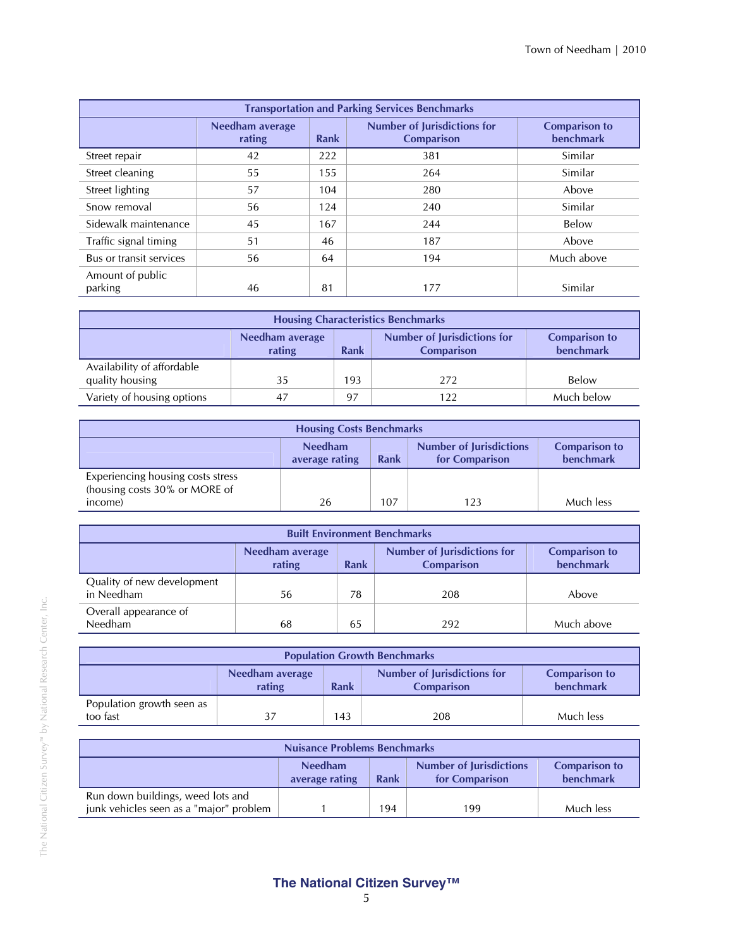| <b>Transportation and Parking Services Benchmarks</b> |                           |             |                                                         |                                          |  |  |
|-------------------------------------------------------|---------------------------|-------------|---------------------------------------------------------|------------------------------------------|--|--|
|                                                       | Needham average<br>rating | <b>Rank</b> | <b>Number of Jurisdictions for</b><br><b>Comparison</b> | <b>Comparison to</b><br><b>benchmark</b> |  |  |
| Street repair                                         | 42                        | 222         | 381                                                     | Similar                                  |  |  |
| Street cleaning                                       | 55                        | 155         | 264                                                     | Similar                                  |  |  |
| Street lighting                                       | 57                        | 104         | 280                                                     | Above                                    |  |  |
| Snow removal                                          | 56                        | 124         | 240                                                     | Similar                                  |  |  |
| Sidewalk maintenance                                  | 45                        | 167         | 244                                                     | Below                                    |  |  |
| Traffic signal timing                                 | 51                        | 46          | 187                                                     | Above                                    |  |  |
| Bus or transit services                               | 56                        | 64          | 194                                                     | Much above                               |  |  |
| Amount of public<br>parking                           | 46                        | 81          | 177                                                     | Similar                                  |  |  |

| <b>Housing Characteristics Benchmarks</b>                                                                                         |     |     |     |            |  |  |
|-----------------------------------------------------------------------------------------------------------------------------------|-----|-----|-----|------------|--|--|
| <b>Number of Jurisdictions for</b><br><b>Comparison to</b><br>Needham average<br>benchmark<br>rating<br><b>Comparison</b><br>Rank |     |     |     |            |  |  |
| Availability of affordable<br>quality housing                                                                                     | 35  | 193 | 272 | Below      |  |  |
| Variety of housing options                                                                                                        | -47 | 97  |     | Much below |  |  |

| <b>Housing Costs Benchmarks</b>                                                                                                   |    |     |     |           |  |  |
|-----------------------------------------------------------------------------------------------------------------------------------|----|-----|-----|-----------|--|--|
| <b>Needham</b><br><b>Number of Jurisdictions</b><br><b>Comparison to</b><br>benchmark<br>for Comparison<br>Rank<br>average rating |    |     |     |           |  |  |
| Experiencing housing costs stress<br>(housing costs 30% or MORE of                                                                |    |     |     |           |  |  |
| income)                                                                                                                           | 26 | 107 | 123 | Much less |  |  |

| <b>Built Environment Benchmarks</b>                               |                                                                                                                                          |    |     |       |  |  |  |
|-------------------------------------------------------------------|------------------------------------------------------------------------------------------------------------------------------------------|----|-----|-------|--|--|--|
|                                                                   | <b>Number of Jurisdictions for</b><br><b>Comparison to</b><br>Needham average<br><b>benchmark</b><br>rating<br>Rank<br><b>Comparison</b> |    |     |       |  |  |  |
| Quality of new development<br>in Needham                          | 56                                                                                                                                       | 78 | 208 | Above |  |  |  |
| Overall appearance of<br>Needham<br>Much above<br>65<br>68<br>292 |                                                                                                                                          |    |     |       |  |  |  |

| <b>Population Growth Benchmarks</b>                                                                                                      |  |     |     |           |  |  |
|------------------------------------------------------------------------------------------------------------------------------------------|--|-----|-----|-----------|--|--|
| <b>Number of Jurisdictions for</b><br><b>Comparison to</b><br>Needham average<br>benchmark<br>rating<br><b>Rank</b><br><b>Comparison</b> |  |     |     |           |  |  |
| Population growth seen as<br>too fast                                                                                                    |  | 143 | 208 | Much less |  |  |

| <b>Nuisance Problems Benchmarks</b>                                                                                                      |  |     |     |           |  |
|------------------------------------------------------------------------------------------------------------------------------------------|--|-----|-----|-----------|--|
| <b>Number of Jurisdictions</b><br><b>Needham</b><br><b>Comparison to</b><br>benchmark<br><b>Rank</b><br>for Comparison<br>average rating |  |     |     |           |  |
| Run down buildings, weed lots and<br>junk vehicles seen as a "major" problem                                                             |  | 194 | 199 | Much less |  |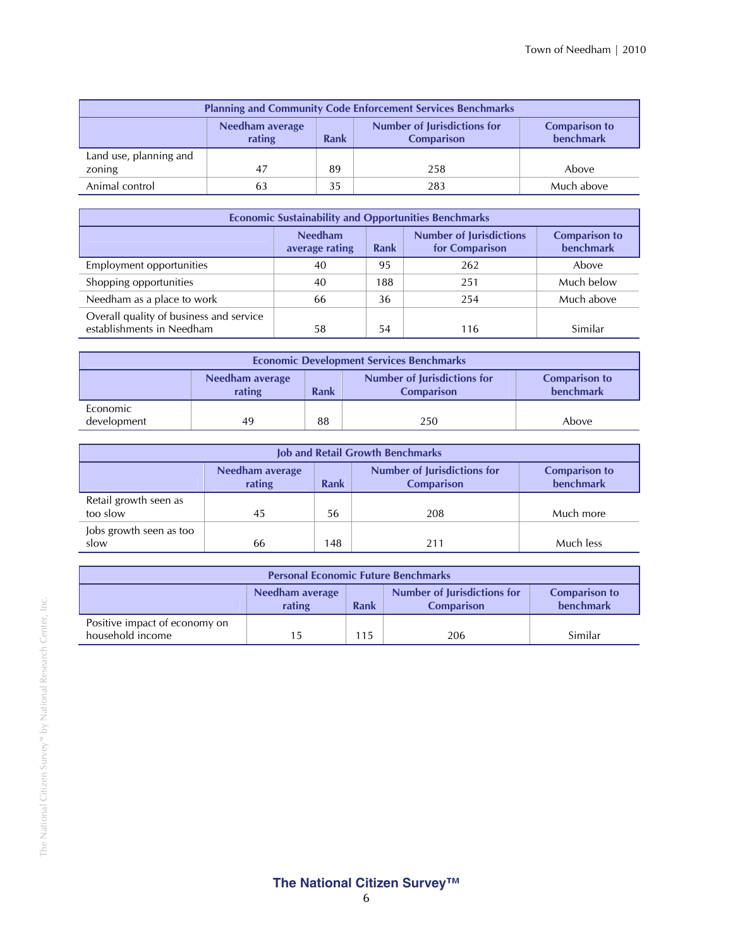| <b>Planning and Community Code Enforcement Services Benchmarks</b>                                                                              |    |    |     |            |  |  |
|-------------------------------------------------------------------------------------------------------------------------------------------------|----|----|-----|------------|--|--|
| <b>Number of Jurisdictions for</b><br>Needham average<br><b>Comparison to</b><br><b>benchmark</b><br>rating<br><b>Rank</b><br><b>Comparison</b> |    |    |     |            |  |  |
| Land use, planning and                                                                                                                          |    |    |     |            |  |  |
| zoning                                                                                                                                          | 47 | 89 | 258 | Above      |  |  |
| Animal control                                                                                                                                  | 63 | 35 | 283 | Much above |  |  |

| <b>Economic Sustainability and Opportunities Benchmarks</b>                                                                       |    |     |     |            |  |  |
|-----------------------------------------------------------------------------------------------------------------------------------|----|-----|-----|------------|--|--|
| <b>Number of Jurisdictions</b><br><b>Needham</b><br><b>Comparison to</b><br>benchmark<br>for Comparison<br>Rank<br>average rating |    |     |     |            |  |  |
| Employment opportunities                                                                                                          | 40 | 95  | 262 | Above      |  |  |
| Shopping opportunities                                                                                                            | 40 | 188 | 251 | Much below |  |  |
| Needham as a place to work                                                                                                        | 66 | 36  | 254 | Much above |  |  |
| Overall quality of business and service<br>establishments in Needham                                                              | 58 | 54  | 116 | Similar    |  |  |

| <b>Economic Development Services Benchmarks</b>                                                                                          |    |    |     |       |  |  |
|------------------------------------------------------------------------------------------------------------------------------------------|----|----|-----|-------|--|--|
| <b>Number of Jurisdictions for</b><br>Needham average<br><b>Comparison to</b><br><b>benchmark</b><br>rating<br>Rank<br><b>Comparison</b> |    |    |     |       |  |  |
| Economic<br>development                                                                                                                  | 49 | 88 | 250 | Above |  |  |

| <b>Job and Retail Growth Benchmarks</b>                                                                                                  |    |     |     |           |  |  |
|------------------------------------------------------------------------------------------------------------------------------------------|----|-----|-----|-----------|--|--|
| <b>Number of Jurisdictions for</b><br>Needham average<br><b>Comparison to</b><br>benchmark<br>rating<br><b>Rank</b><br><b>Comparison</b> |    |     |     |           |  |  |
| Retail growth seen as<br>too slow                                                                                                        | 45 | 56  | 208 | Much more |  |  |
| Jobs growth seen as too<br>slow                                                                                                          | 66 | 148 | 211 | Much less |  |  |

| <b>Personal Economic Future Benchmarks</b>                                                                                 |    |     |     |         |  |  |
|----------------------------------------------------------------------------------------------------------------------------|----|-----|-----|---------|--|--|
| Number of Jurisdictions for<br>Needham average<br><b>Comparison to</b><br>benchmark<br>rating<br>Rank<br><b>Comparison</b> |    |     |     |         |  |  |
| Positive impact of economy on<br>household income                                                                          | 15 | 115 | 206 | Similar |  |  |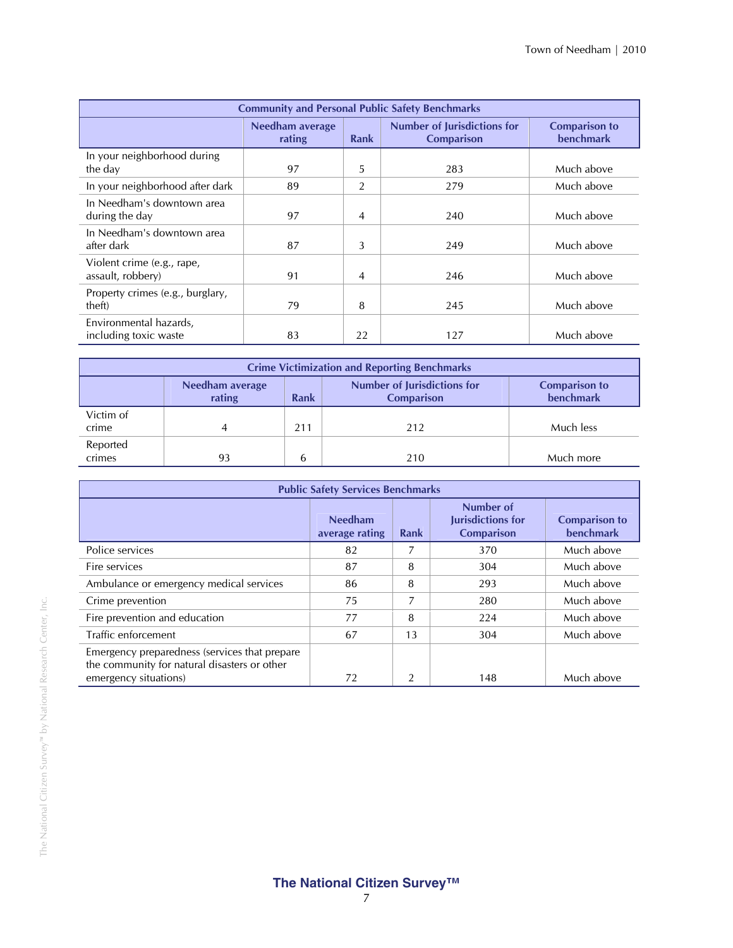| <b>Community and Personal Public Safety Benchmarks</b> |                                  |                |                                                         |                                          |  |  |  |
|--------------------------------------------------------|----------------------------------|----------------|---------------------------------------------------------|------------------------------------------|--|--|--|
|                                                        | <b>Needham average</b><br>rating | <b>Rank</b>    | <b>Number of Jurisdictions for</b><br><b>Comparison</b> | <b>Comparison to</b><br><b>benchmark</b> |  |  |  |
| In your neighborhood during<br>the day                 | 97                               | 5              | 283                                                     | Much above                               |  |  |  |
| In your neighborhood after dark                        | 89                               | 2              | 279                                                     | Much above                               |  |  |  |
| In Needham's downtown area<br>during the day           | 97                               | $\overline{4}$ | 240                                                     | Much above                               |  |  |  |
| In Needham's downtown area<br>after dark               | 87                               | 3              | 249                                                     | Much above                               |  |  |  |
| Violent crime (e.g., rape,<br>assault, robbery)        | 91                               | 4              | 246                                                     | Much above                               |  |  |  |
| Property crimes (e.g., burglary,<br>theft)             | 79                               | 8              | 245                                                     | Much above                               |  |  |  |
| Environmental hazards,<br>including toxic waste        | 83                               | 22             | 127                                                     | Much above                               |  |  |  |

| <b>Crime Victimization and Reporting Benchmarks</b> |                                                                                                                                   |     |     |           |  |  |  |
|-----------------------------------------------------|-----------------------------------------------------------------------------------------------------------------------------------|-----|-----|-----------|--|--|--|
|                                                     | <b>Number of Jurisdictions for</b><br>Needham average<br><b>Comparison to</b><br>benchmark<br>rating<br>Rank<br><b>Comparison</b> |     |     |           |  |  |  |
| Victim of<br>crime                                  |                                                                                                                                   | 211 | 212 | Much less |  |  |  |
| Reported<br>crimes                                  | 93                                                                                                                                | 6   | 210 | Much more |  |  |  |

| <b>Public Safety Services Benchmarks</b>                                                                               |                                  |                |                                                            |                                          |  |
|------------------------------------------------------------------------------------------------------------------------|----------------------------------|----------------|------------------------------------------------------------|------------------------------------------|--|
|                                                                                                                        | <b>Needham</b><br>average rating | Rank           | Number of<br><b>Jurisdictions for</b><br><b>Comparison</b> | <b>Comparison to</b><br><b>benchmark</b> |  |
| Police services                                                                                                        | 82                               | 7              | 370                                                        | Much above                               |  |
| Fire services                                                                                                          | 87                               | 8              | 304                                                        | Much above                               |  |
| Ambulance or emergency medical services                                                                                | 86                               | 8              | 293                                                        | Much above                               |  |
| Crime prevention                                                                                                       | 75                               | 7              | 280                                                        | Much above                               |  |
| Fire prevention and education                                                                                          | 77                               | 8              | 224                                                        | Much above                               |  |
| Traffic enforcement                                                                                                    | 67                               | 13             | 304                                                        | Much above                               |  |
| Emergency preparedness (services that prepare<br>the community for natural disasters or other<br>emergency situations) | 72                               | $\overline{2}$ | 148                                                        | Much above                               |  |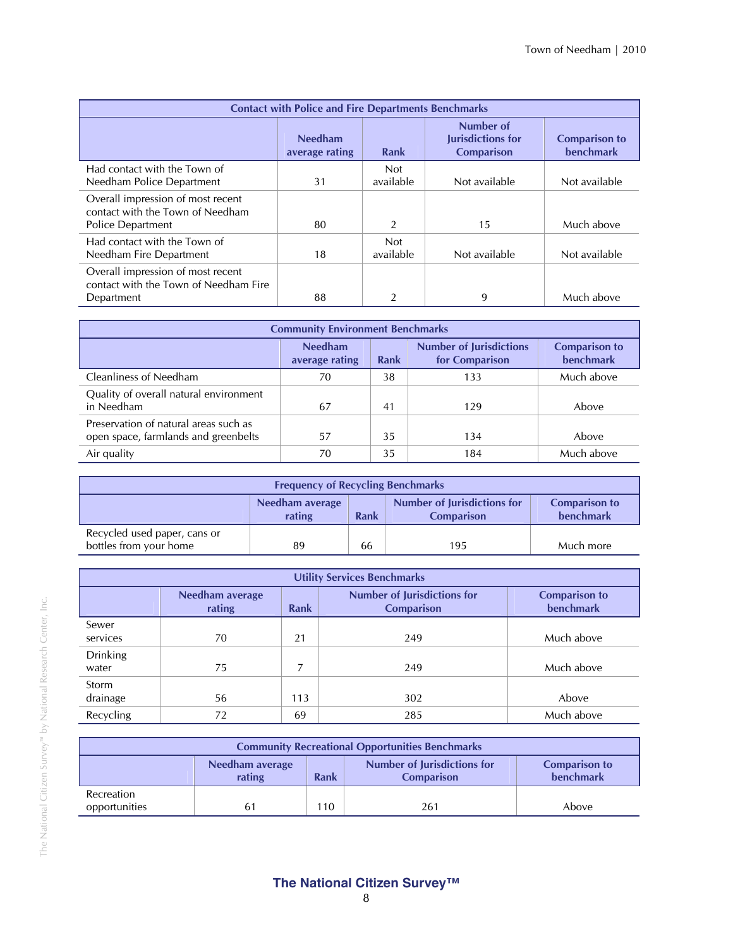| <b>Contact with Police and Fire Departments Benchmarks</b>                                 |                                  |                         |                                                     |                                          |  |
|--------------------------------------------------------------------------------------------|----------------------------------|-------------------------|-----------------------------------------------------|------------------------------------------|--|
|                                                                                            | <b>Needham</b><br>average rating | Rank                    | Number of<br>Jurisdictions for<br><b>Comparison</b> | <b>Comparison to</b><br><b>benchmark</b> |  |
| Had contact with the Town of<br>Needham Police Department                                  | 31                               | <b>Not</b><br>available | Not available                                       | Not available                            |  |
| Overall impression of most recent<br>contact with the Town of Needham<br>Police Department | 80                               | 2                       | 15                                                  | Much above                               |  |
| Had contact with the Town of<br>Needham Fire Department                                    | 18                               | <b>Not</b><br>available | Not available                                       | Not available                            |  |
| Overall impression of most recent<br>contact with the Town of Needham Fire<br>Department   | 88                               | 2                       | 9                                                   | Much above                               |  |

| <b>Community Environment Benchmarks</b>                                       |                                  |      |                                                  |                                   |  |  |
|-------------------------------------------------------------------------------|----------------------------------|------|--------------------------------------------------|-----------------------------------|--|--|
|                                                                               | <b>Needham</b><br>average rating | Rank | <b>Number of Jurisdictions</b><br>for Comparison | <b>Comparison to</b><br>benchmark |  |  |
| Cleanliness of Needham                                                        | 70                               | 38   | 133                                              | Much above                        |  |  |
| Quality of overall natural environment<br>in Needham                          | 67                               | 41   | 129                                              | Above                             |  |  |
| Preservation of natural areas such as<br>open space, farmlands and greenbelts | 57                               | 35   | 134                                              | Above                             |  |  |
| Air quality                                                                   | 70                               | 35   | 184                                              | Much above                        |  |  |

| <b>Frequency of Recycling Benchmarks</b>                                                                                   |    |    |     |           |  |  |
|----------------------------------------------------------------------------------------------------------------------------|----|----|-----|-----------|--|--|
| Number of Jurisdictions for<br><b>Comparison to</b><br>Needham average<br>benchmark<br>Rank<br>rating<br><b>Comparison</b> |    |    |     |           |  |  |
| Recycled used paper, cans or<br>bottles from your home                                                                     | 89 | 66 | 195 | Much more |  |  |

| <b>Utility Services Benchmarks</b> |                                   |     |                                                         |                                          |  |  |
|------------------------------------|-----------------------------------|-----|---------------------------------------------------------|------------------------------------------|--|--|
|                                    | Needham average<br>rating<br>Rank |     | <b>Number of Jurisdictions for</b><br><b>Comparison</b> | <b>Comparison to</b><br><b>benchmark</b> |  |  |
| Sewer<br>services                  | 70                                | 21  | 249                                                     | Much above                               |  |  |
| <b>Drinking</b><br>water           | 75                                |     | 249                                                     | Much above                               |  |  |
| Storm<br>drainage                  | 56                                | 113 | 302                                                     | Above                                    |  |  |
| Recycling                          | 72                                | 69  | 285                                                     | Much above                               |  |  |

| <b>Community Recreational Opportunities Benchmarks</b> |                                                                                                                                   |     |     |       |  |  |
|--------------------------------------------------------|-----------------------------------------------------------------------------------------------------------------------------------|-----|-----|-------|--|--|
|                                                        | <b>Number of Jurisdictions for</b><br><b>Comparison to</b><br>Needham average<br>benchmark<br>rating<br>Rank<br><b>Comparison</b> |     |     |       |  |  |
| Recreation<br>opportunities                            | 61                                                                                                                                | 110 | 261 | Above |  |  |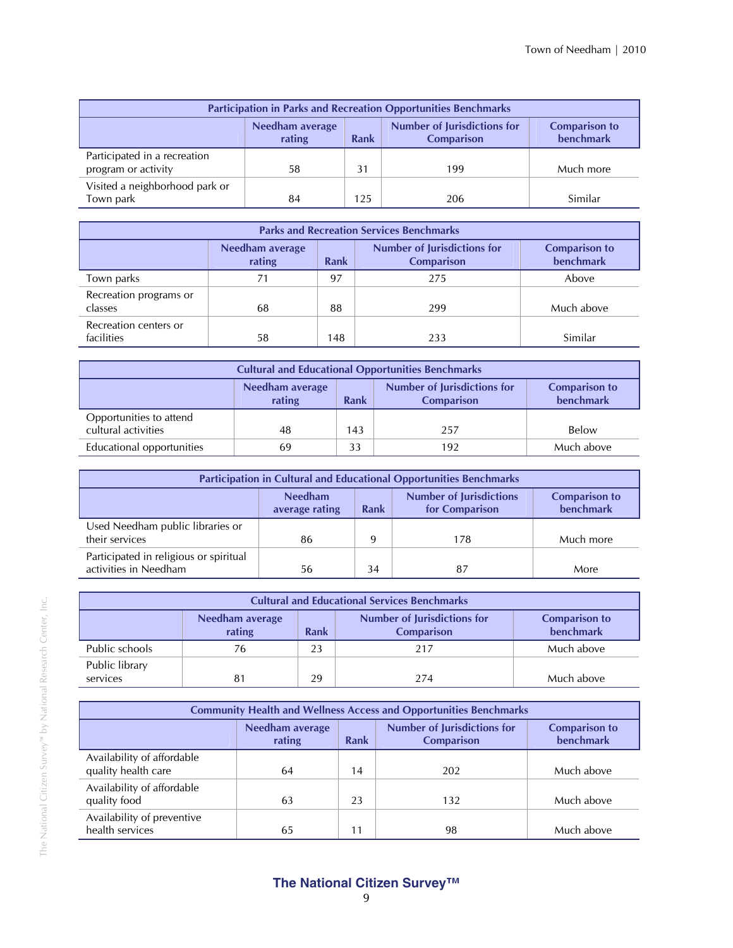| <b>Participation in Parks and Recreation Opportunities Benchmarks</b>                                                                           |    |     |     |           |  |  |
|-------------------------------------------------------------------------------------------------------------------------------------------------|----|-----|-----|-----------|--|--|
| <b>Number of Jurisdictions for</b><br>Needham average<br><b>Comparison to</b><br><b>benchmark</b><br><b>Rank</b><br>rating<br><b>Comparison</b> |    |     |     |           |  |  |
| Participated in a recreation<br>program or activity                                                                                             | 58 | 31  | 199 | Much more |  |  |
| Visited a neighborhood park or<br>Town park                                                                                                     | 84 | 125 | 206 | Similar   |  |  |

| <b>Parks and Recreation Services Benchmarks</b> |                                   |     |     |            |  |  |
|-------------------------------------------------|-----------------------------------|-----|-----|------------|--|--|
|                                                 | <b>Comparison to</b><br>benchmark |     |     |            |  |  |
| Town parks                                      | 71                                | 97  | 275 | Above      |  |  |
| Recreation programs or<br>classes               | 68                                | 88  | 299 | Much above |  |  |
| Recreation centers or<br>facilities             | 58                                | 148 | 233 | Similar    |  |  |

| <b>Cultural and Educational Opportunities Benchmarks</b>                                                                          |    |     |     |            |  |  |
|-----------------------------------------------------------------------------------------------------------------------------------|----|-----|-----|------------|--|--|
| Number of Jurisdictions for<br>Needham average<br><b>Comparison to</b><br><b>benchmark</b><br>rating<br>Rank<br><b>Comparison</b> |    |     |     |            |  |  |
| Opportunities to attend<br>cultural activities                                                                                    | 48 | 143 | 257 | Below      |  |  |
|                                                                                                                                   |    |     |     |            |  |  |
| Educational opportunities                                                                                                         | 69 | 33  | 192 | Much above |  |  |

| <b>Participation in Cultural and Educational Opportunities Benchmarks</b> |                                  |      |                                                  |                                   |  |  |
|---------------------------------------------------------------------------|----------------------------------|------|--------------------------------------------------|-----------------------------------|--|--|
|                                                                           | <b>Needham</b><br>average rating | Rank | <b>Number of Jurisdictions</b><br>for Comparison | <b>Comparison to</b><br>benchmark |  |  |
| Used Needham public libraries or<br>their services                        | 86                               | Q    | 178                                              | Much more                         |  |  |
| Participated in religious or spiritual<br>activities in Needham           | 56                               | 34   | 87                                               | More                              |  |  |

| <b>Cultural and Educational Services Benchmarks</b>                                                                                             |    |    |     |            |  |  |  |
|-------------------------------------------------------------------------------------------------------------------------------------------------|----|----|-----|------------|--|--|--|
| <b>Number of Jurisdictions for</b><br>Needham average<br><b>Comparison to</b><br><b>benchmark</b><br><b>Rank</b><br><b>Comparison</b><br>rating |    |    |     |            |  |  |  |
| Public schools                                                                                                                                  | 76 | 23 | 217 | Much above |  |  |  |
| Public library<br>services                                                                                                                      | 81 | 29 | 274 | Much above |  |  |  |

| <b>Community Health and Wellness Access and Opportunities Benchmarks</b> |                                  |             |                                                         |                                          |  |  |
|--------------------------------------------------------------------------|----------------------------------|-------------|---------------------------------------------------------|------------------------------------------|--|--|
|                                                                          | <b>Needham average</b><br>rating | <b>Rank</b> | <b>Number of Jurisdictions for</b><br><b>Comparison</b> | <b>Comparison to</b><br><b>benchmark</b> |  |  |
| Availability of affordable<br>quality health care                        | 64                               | 14          | 202                                                     | Much above                               |  |  |
| Availability of affordable<br>quality food                               | 63                               | 23          | 132                                                     | Much above                               |  |  |
| Availability of preventive<br>health services                            | 65                               | 11          | 98                                                      | Much above                               |  |  |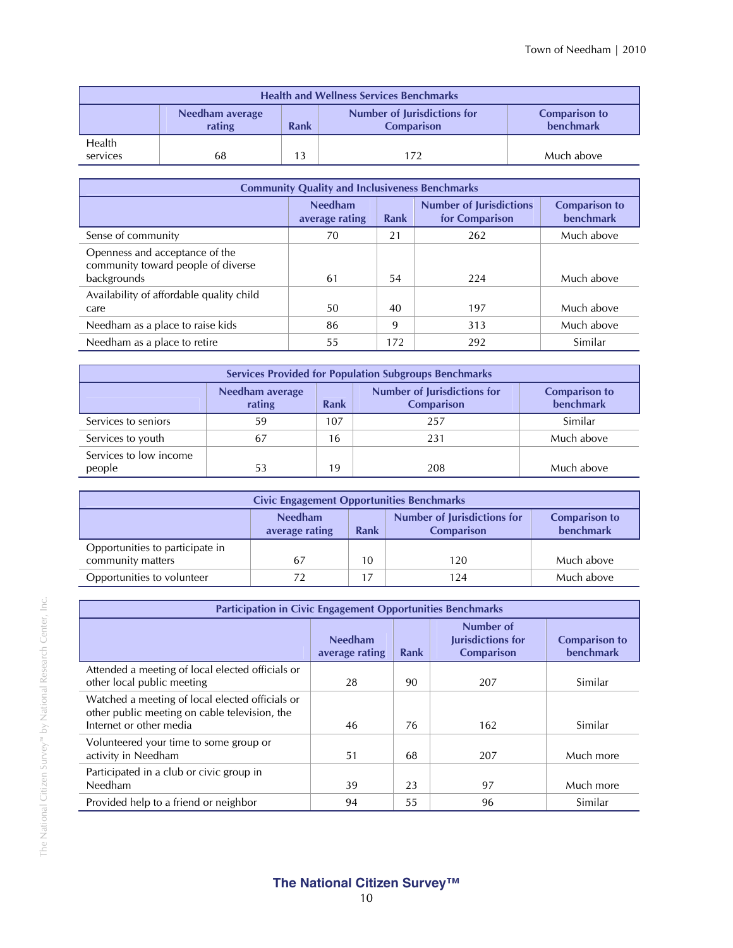| <b>Health and Wellness Services Benchmarks</b>                                                                                    |    |  |     |            |  |  |
|-----------------------------------------------------------------------------------------------------------------------------------|----|--|-----|------------|--|--|
| <b>Number of Jurisdictions for</b><br>Needham average<br><b>Comparison to</b><br>benchmark<br>rating<br><b>Comparison</b><br>Rank |    |  |     |            |  |  |
| <b>Health</b><br>services                                                                                                         | 68 |  | 172 | Much above |  |  |

| <b>Community Quality and Inclusiveness Benchmarks</b>                               |                                  |      |                                                  |                                          |  |  |
|-------------------------------------------------------------------------------------|----------------------------------|------|--------------------------------------------------|------------------------------------------|--|--|
|                                                                                     | <b>Needham</b><br>average rating | Rank | <b>Number of Jurisdictions</b><br>for Comparison | <b>Comparison to</b><br><b>benchmark</b> |  |  |
| Sense of community                                                                  | 70                               | 21   | 262                                              | Much above                               |  |  |
| Openness and acceptance of the<br>community toward people of diverse<br>backgrounds | 61                               | 54   | 224                                              | Much above                               |  |  |
| Availability of affordable quality child<br>care                                    | 50                               | 40   | 197                                              | Much above                               |  |  |
| Needham as a place to raise kids                                                    | 86                               | 9    | 313                                              | Much above                               |  |  |
| Needham as a place to retire                                                        | 55                               | 172  | 292                                              | Similar                                  |  |  |

| <b>Services Provided for Population Subgroups Benchmarks</b> |                           |                                          |     |            |  |  |  |
|--------------------------------------------------------------|---------------------------|------------------------------------------|-----|------------|--|--|--|
|                                                              | Needham average<br>rating | <b>Comparison to</b><br><b>benchmark</b> |     |            |  |  |  |
| Services to seniors                                          | 59                        | 107                                      | 257 | Similar    |  |  |  |
| Services to youth                                            | 67                        | 16                                       | 231 | Much above |  |  |  |
| Services to low income<br>people                             | 53                        | 19                                       | 208 | Much above |  |  |  |

| <b>Civic Engagement Opportunities Benchmarks</b>                                                                                                |    |    |     |            |  |  |
|-------------------------------------------------------------------------------------------------------------------------------------------------|----|----|-----|------------|--|--|
| <b>Number of Jurisdictions for</b><br><b>Needham</b><br><b>Comparison to</b><br><b>benchmark</b><br>Rank<br><b>Comparison</b><br>average rating |    |    |     |            |  |  |
| Opportunities to participate in<br>community matters                                                                                            | 67 | 10 | 120 | Much above |  |  |
| Opportunities to volunteer                                                                                                                      |    |    | 124 | Much above |  |  |

| <b>Participation in Civic Engagement Opportunities Benchmarks</b>                                                           |                                  |      |                                                     |                                   |
|-----------------------------------------------------------------------------------------------------------------------------|----------------------------------|------|-----------------------------------------------------|-----------------------------------|
|                                                                                                                             | <b>Needham</b><br>average rating | Rank | Number of<br>Jurisdictions for<br><b>Comparison</b> | <b>Comparison to</b><br>benchmark |
| Attended a meeting of local elected officials or<br>other local public meeting                                              | 28                               | 90   | 207                                                 | Similar                           |
| Watched a meeting of local elected officials or<br>other public meeting on cable television, the<br>Internet or other media | 46                               | 76   | 162                                                 | Similar                           |
| Volunteered your time to some group or<br>activity in Needham                                                               | 51                               | 68   | 207                                                 | Much more                         |
| Participated in a club or civic group in<br>Needham                                                                         | 39                               | 23   | 97                                                  | Much more                         |
| Provided help to a friend or neighbor                                                                                       | 94                               | 55   | 96                                                  | Similar                           |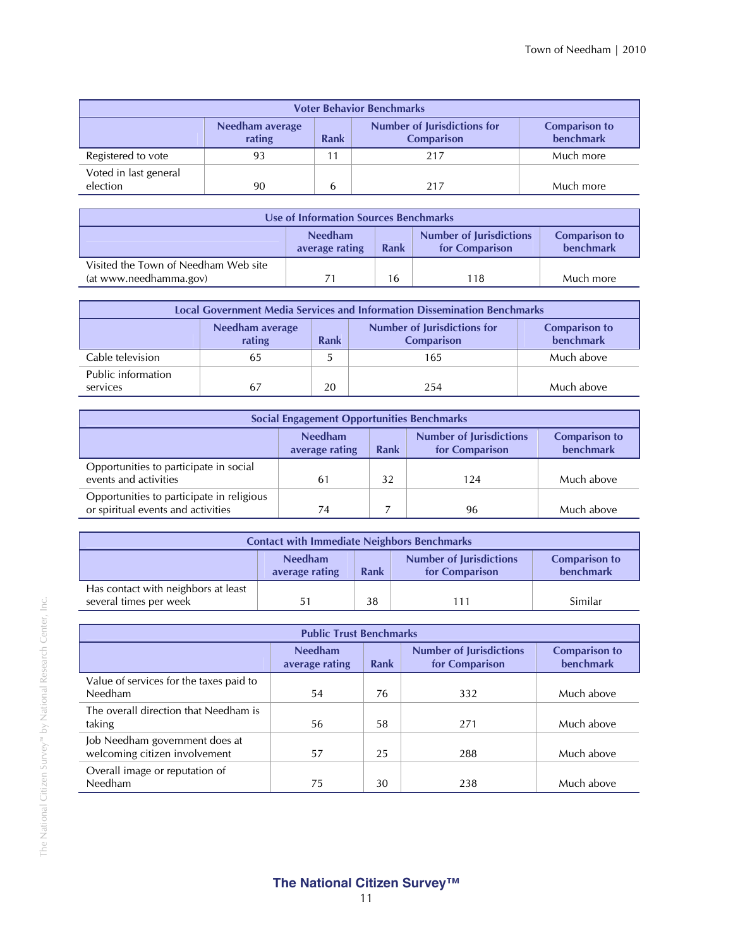| <b>Voter Behavior Benchmarks</b>  |                           |             |                                                         |                                   |  |
|-----------------------------------|---------------------------|-------------|---------------------------------------------------------|-----------------------------------|--|
|                                   | Needham average<br>rating | <b>Rank</b> | <b>Number of Jurisdictions for</b><br><b>Comparison</b> | <b>Comparison to</b><br>benchmark |  |
| Registered to vote                | 93                        |             | 217                                                     | Much more                         |  |
| Voted in last general<br>election | 90                        |             | 217                                                     | Much more                         |  |

|                                                                | Use of Information Sources Benchmarks |      |                                                  |                                   |  |
|----------------------------------------------------------------|---------------------------------------|------|--------------------------------------------------|-----------------------------------|--|
|                                                                | <b>Needham</b><br>average rating      | Rank | <b>Number of Jurisdictions</b><br>for Comparison | <b>Comparison to</b><br>benchmark |  |
| Visited the Town of Needham Web site<br>(at www.needhamma.gov) |                                       | 16   | 118                                              | Much more                         |  |

|                                | <b>Local Government Media Services and Information Dissemination Benchmarks</b> |      |                                                         |                                          |  |
|--------------------------------|---------------------------------------------------------------------------------|------|---------------------------------------------------------|------------------------------------------|--|
|                                | Needham average<br>rating                                                       | Rank | <b>Number of Jurisdictions for</b><br><b>Comparison</b> | <b>Comparison to</b><br><b>benchmark</b> |  |
| Cable television               | 65                                                                              |      | 165                                                     | Much above                               |  |
| Public information<br>services | 67                                                                              | 20   | 254                                                     | Much above                               |  |

|                                                                                 | <b>Social Engagement Opportunities Benchmarks</b> |      |                                                  |                                          |
|---------------------------------------------------------------------------------|---------------------------------------------------|------|--------------------------------------------------|------------------------------------------|
|                                                                                 | <b>Needham</b><br>average rating                  | Rank | <b>Number of Jurisdictions</b><br>for Comparison | <b>Comparison to</b><br><b>benchmark</b> |
| Opportunities to participate in social<br>events and activities                 | 61                                                | 32   | 124                                              | Much above                               |
| Opportunities to participate in religious<br>or spiritual events and activities | 74                                                |      | 96                                               | Much above                               |

| <b>Contact with Immediate Neighbors Benchmarks</b>            |                                  |      |                                                  |                                          |
|---------------------------------------------------------------|----------------------------------|------|--------------------------------------------------|------------------------------------------|
|                                                               | <b>Needham</b><br>average rating | Rank | <b>Number of Jurisdictions</b><br>for Comparison | <b>Comparison to</b><br><b>benchmark</b> |
| Has contact with neighbors at least<br>several times per week | 51                               | 38   |                                                  | Similar                                  |

|                                         | <b>Public Trust Benchmarks</b>   |             |                                                  |                                          |
|-----------------------------------------|----------------------------------|-------------|--------------------------------------------------|------------------------------------------|
|                                         | <b>Needham</b><br>average rating | <b>Rank</b> | <b>Number of Jurisdictions</b><br>for Comparison | <b>Comparison to</b><br><b>benchmark</b> |
| Value of services for the taxes paid to |                                  |             |                                                  |                                          |
| Needham                                 | 54                               | 76          | 332                                              | Much above                               |
| The overall direction that Needham is   |                                  |             |                                                  |                                          |
| taking                                  | 56                               | 58          | 271                                              | Much above                               |
| Job Needham government does at          |                                  |             |                                                  |                                          |
| welcoming citizen involvement           | 57                               | 25          | 288                                              | Much above                               |
| Overall image or reputation of          |                                  |             |                                                  |                                          |
| Needham                                 | 75                               | 30          | 238                                              | Much above                               |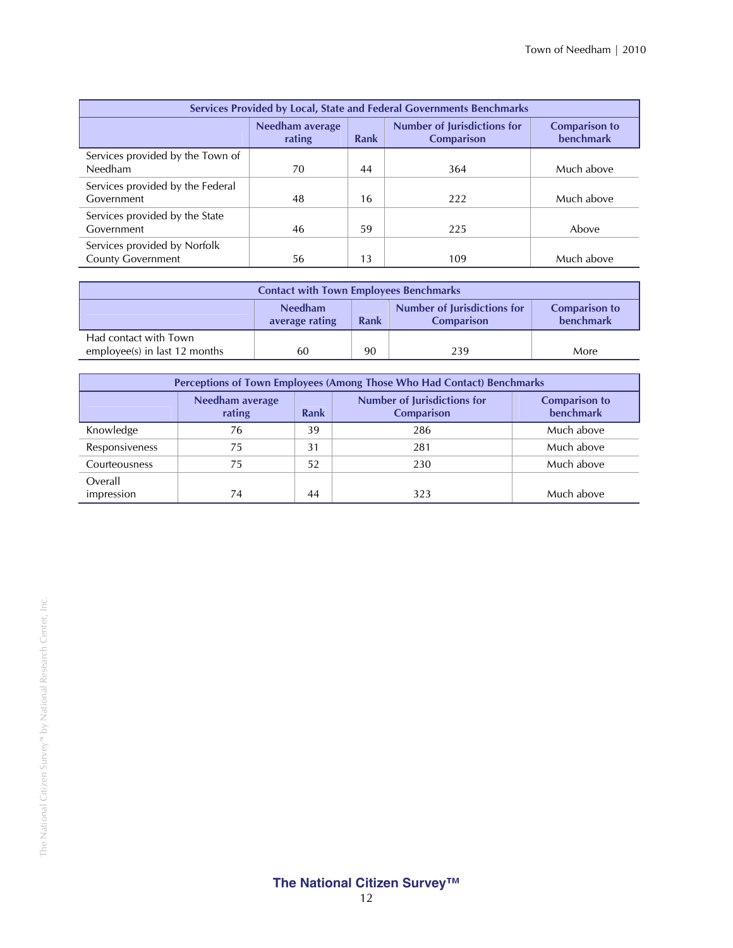| Services Provided by Local, State and Federal Governments Benchmarks |                           |      |                                                         |                                          |
|----------------------------------------------------------------------|---------------------------|------|---------------------------------------------------------|------------------------------------------|
|                                                                      | Needham average<br>rating | Rank | <b>Number of Jurisdictions for</b><br><b>Comparison</b> | <b>Comparison to</b><br><b>benchmark</b> |
| Services provided by the Town of<br>Needham                          | 70                        | 44   | 364                                                     | Much above                               |
| Services provided by the Federal<br>Government                       | 48                        | 16   | 222                                                     | Much above                               |
| Services provided by the State<br>Government                         | 46                        | 59   | 225                                                     | Above                                    |
| Services provided by Norfolk<br><b>County Government</b>             | 56                        | 13   | 109                                                     | Much above                               |

|                                                        | <b>Contact with Town Employees Benchmarks</b> |      |                                                  |                                   |
|--------------------------------------------------------|-----------------------------------------------|------|--------------------------------------------------|-----------------------------------|
|                                                        | <b>Needham</b><br>average rating              | Rank | Number of Jurisdictions for<br><b>Comparison</b> | <b>Comparison to</b><br>benchmark |
| Had contact with Town<br>employee(s) in last 12 months | 60                                            | 90   | 239                                              | More                              |

|                |                           |      | <b>Perceptions of Town Employees (Among Those Who Had Contact) Benchmarks</b> |                                   |
|----------------|---------------------------|------|-------------------------------------------------------------------------------|-----------------------------------|
|                | Needham average<br>rating | Rank | <b>Number of Jurisdictions for</b><br><b>Comparison</b>                       | <b>Comparison to</b><br>benchmark |
| Knowledge      | 76                        | 39   | 286                                                                           | Much above                        |
| Responsiveness | 75                        | 31   | 281                                                                           | Much above                        |
| Courteousness  | 75                        | 52   | 230                                                                           | Much above                        |
| Overall        |                           |      |                                                                               |                                   |
| impression     | 74.                       | 44   | 323                                                                           | Much above                        |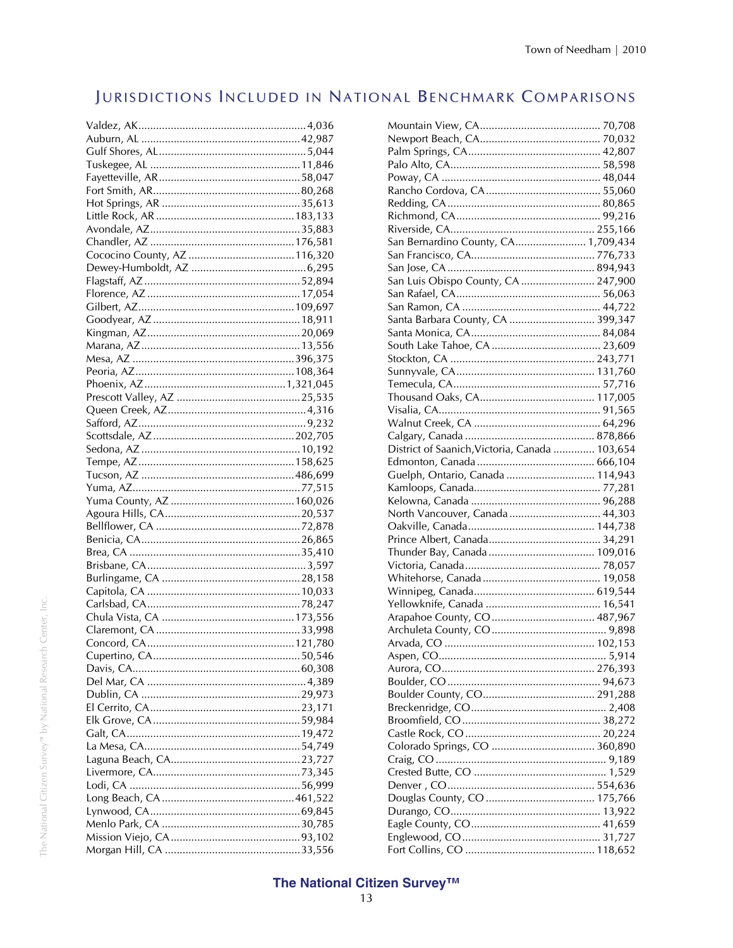## JURISDICTIONS INCLUDED IN NATIONAL BENCHMARK COMPARISONS

| San Bernardino County, CA 1,709,434            |  |
|------------------------------------------------|--|
|                                                |  |
|                                                |  |
| San Luis Obispo County, CA  247,900            |  |
|                                                |  |
|                                                |  |
| Santa Barbara County, CA  399,347              |  |
|                                                |  |
|                                                |  |
|                                                |  |
|                                                |  |
|                                                |  |
|                                                |  |
|                                                |  |
|                                                |  |
|                                                |  |
|                                                |  |
| District of Saanich, Victoria, Canada  103,654 |  |
|                                                |  |
| Guelph, Ontario, Canada  114,943               |  |
|                                                |  |
|                                                |  |
| North Vancouver, Canada  44,303                |  |
|                                                |  |
|                                                |  |
|                                                |  |
|                                                |  |
|                                                |  |
|                                                |  |
|                                                |  |
|                                                |  |
|                                                |  |
|                                                |  |
|                                                |  |
|                                                |  |
|                                                |  |
|                                                |  |
|                                                |  |
|                                                |  |
|                                                |  |
|                                                |  |
|                                                |  |
|                                                |  |
|                                                |  |
|                                                |  |
|                                                |  |
|                                                |  |
|                                                |  |
|                                                |  |
|                                                |  |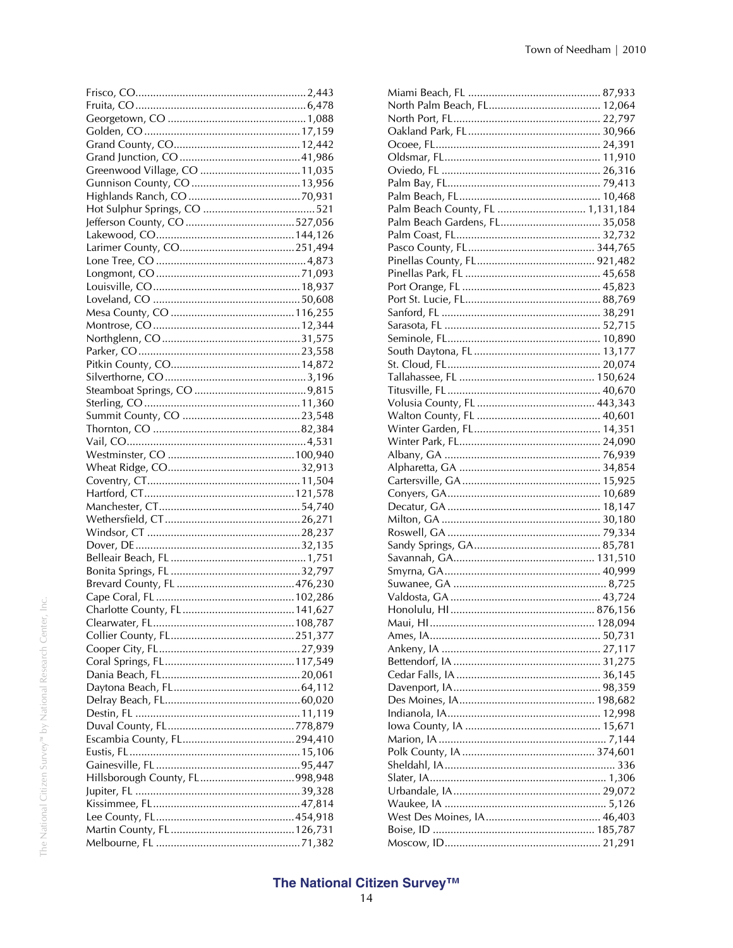| Greenwood Village, CO 11,035 |  |
|------------------------------|--|
|                              |  |
|                              |  |
|                              |  |
|                              |  |
|                              |  |
|                              |  |
|                              |  |
|                              |  |
|                              |  |
|                              |  |
|                              |  |
|                              |  |
|                              |  |
|                              |  |
|                              |  |
|                              |  |
|                              |  |
|                              |  |
|                              |  |
|                              |  |
|                              |  |
|                              |  |
|                              |  |
|                              |  |
|                              |  |
|                              |  |
|                              |  |
|                              |  |
|                              |  |
|                              |  |
|                              |  |
|                              |  |
|                              |  |
|                              |  |
|                              |  |
|                              |  |
|                              |  |
|                              |  |
|                              |  |
|                              |  |
|                              |  |
|                              |  |
|                              |  |
|                              |  |
|                              |  |
|                              |  |
|                              |  |
|                              |  |
|                              |  |
|                              |  |
|                              |  |
|                              |  |

| Palm Beach County, FL  1,131,184 |  |
|----------------------------------|--|
| Palm Beach Gardens, FL 35,058    |  |
|                                  |  |
|                                  |  |
|                                  |  |
|                                  |  |
|                                  |  |
|                                  |  |
|                                  |  |
|                                  |  |
|                                  |  |
|                                  |  |
|                                  |  |
|                                  |  |
|                                  |  |
|                                  |  |
|                                  |  |
|                                  |  |
|                                  |  |
|                                  |  |
|                                  |  |
|                                  |  |
|                                  |  |
|                                  |  |
|                                  |  |
|                                  |  |
|                                  |  |
|                                  |  |
|                                  |  |
|                                  |  |
|                                  |  |
|                                  |  |
|                                  |  |
|                                  |  |
|                                  |  |
|                                  |  |
|                                  |  |
|                                  |  |
|                                  |  |
|                                  |  |
|                                  |  |
|                                  |  |
|                                  |  |
|                                  |  |
|                                  |  |
|                                  |  |
|                                  |  |
|                                  |  |
|                                  |  |
|                                  |  |
|                                  |  |
|                                  |  |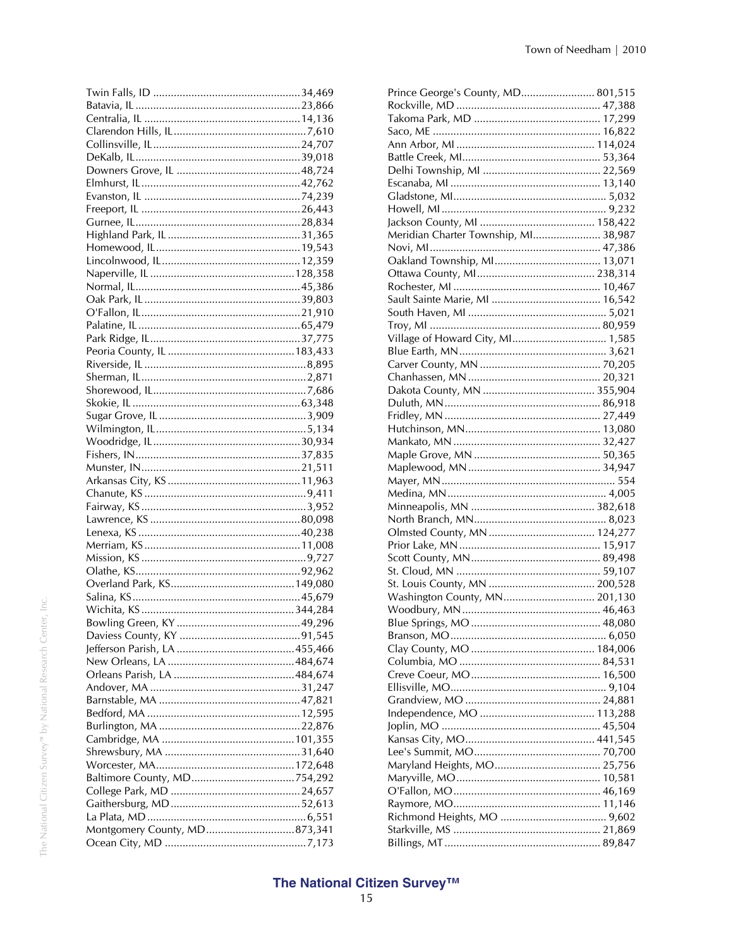| Montgomery County, MD873,341 |  |
|------------------------------|--|
|                              |  |

| Prince George's County, MD 801,515   |  |
|--------------------------------------|--|
|                                      |  |
|                                      |  |
|                                      |  |
|                                      |  |
|                                      |  |
|                                      |  |
|                                      |  |
|                                      |  |
|                                      |  |
|                                      |  |
| Meridian Charter Township, MI 38,987 |  |
|                                      |  |
|                                      |  |
|                                      |  |
|                                      |  |
|                                      |  |
|                                      |  |
|                                      |  |
|                                      |  |
| Village of Howard City, MI 1,585     |  |
|                                      |  |
|                                      |  |
|                                      |  |
|                                      |  |
|                                      |  |
|                                      |  |
|                                      |  |
|                                      |  |
|                                      |  |
|                                      |  |
|                                      |  |
|                                      |  |
|                                      |  |
|                                      |  |
|                                      |  |
|                                      |  |
|                                      |  |
|                                      |  |
|                                      |  |
|                                      |  |
| Washington County, MN 201,130        |  |
|                                      |  |
|                                      |  |
|                                      |  |
|                                      |  |
|                                      |  |
|                                      |  |
|                                      |  |
|                                      |  |
|                                      |  |
|                                      |  |
|                                      |  |
|                                      |  |
|                                      |  |
|                                      |  |
|                                      |  |
|                                      |  |
|                                      |  |
|                                      |  |
|                                      |  |
|                                      |  |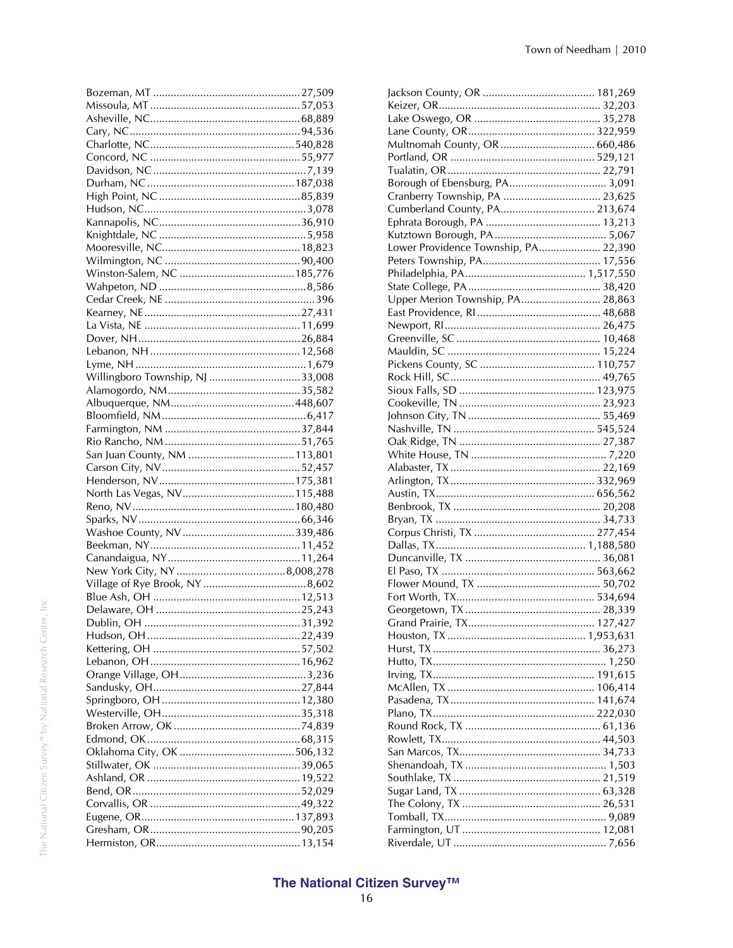| Willingboro Township, NJ 33,008 |  |
|---------------------------------|--|
|                                 |  |
|                                 |  |
|                                 |  |
|                                 |  |
|                                 |  |
|                                 |  |
|                                 |  |
|                                 |  |
|                                 |  |
|                                 |  |
|                                 |  |
|                                 |  |
|                                 |  |
|                                 |  |
|                                 |  |
|                                 |  |
|                                 |  |
|                                 |  |
|                                 |  |
|                                 |  |
|                                 |  |
|                                 |  |
|                                 |  |
|                                 |  |
|                                 |  |
|                                 |  |
|                                 |  |
|                                 |  |
|                                 |  |
|                                 |  |
|                                 |  |
|                                 |  |
|                                 |  |
|                                 |  |
|                                 |  |
|                                 |  |
|                                 |  |
|                                 |  |

| Multnomah County, OR  660,486        |  |
|--------------------------------------|--|
|                                      |  |
|                                      |  |
|                                      |  |
| Cranberry Township, PA  23,625       |  |
| Cumberland County, PA 213,674        |  |
|                                      |  |
|                                      |  |
| Lower Providence Township, PA 22,390 |  |
|                                      |  |
|                                      |  |
|                                      |  |
| Upper Merion Township, PA 28,863     |  |
|                                      |  |
|                                      |  |
|                                      |  |
|                                      |  |
|                                      |  |
|                                      |  |
|                                      |  |
|                                      |  |
|                                      |  |
|                                      |  |
|                                      |  |
|                                      |  |
|                                      |  |
|                                      |  |
|                                      |  |
|                                      |  |
|                                      |  |
|                                      |  |
|                                      |  |
|                                      |  |
|                                      |  |
|                                      |  |
|                                      |  |
|                                      |  |
|                                      |  |
|                                      |  |
|                                      |  |
|                                      |  |
|                                      |  |
|                                      |  |
|                                      |  |
|                                      |  |
|                                      |  |
|                                      |  |
|                                      |  |
|                                      |  |
|                                      |  |
|                                      |  |
|                                      |  |
|                                      |  |
|                                      |  |
|                                      |  |
|                                      |  |